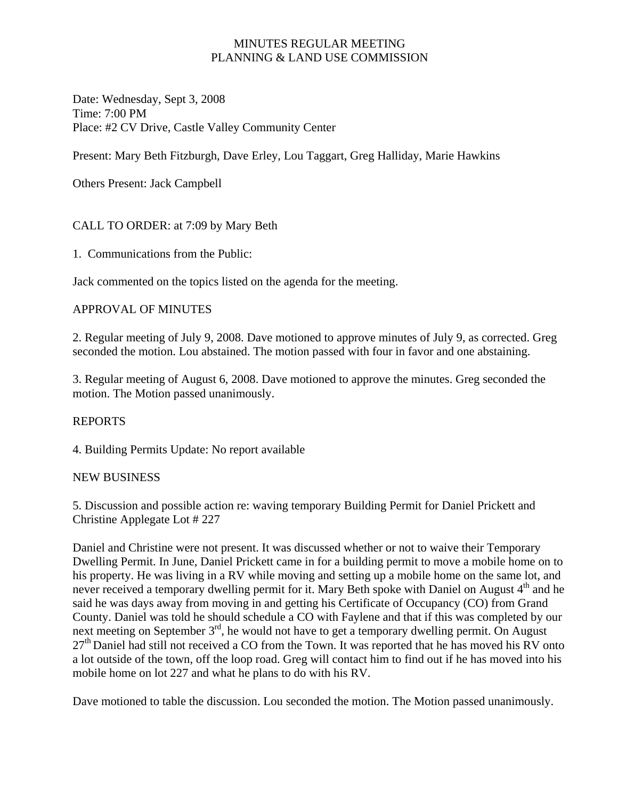## MINUTES REGULAR MEETING PLANNING & LAND USE COMMISSION

Date: Wednesday, Sept 3, 2008 Time: 7:00 PM Place: #2 CV Drive, Castle Valley Community Center

Present: Mary Beth Fitzburgh, Dave Erley, Lou Taggart, Greg Halliday, Marie Hawkins

Others Present: Jack Campbell

# CALL TO ORDER: at 7:09 by Mary Beth

1. Communications from the Public:

Jack commented on the topics listed on the agenda for the meeting.

## APPROVAL OF MINUTES

2. Regular meeting of July 9, 2008. Dave motioned to approve minutes of July 9, as corrected. Greg seconded the motion. Lou abstained. The motion passed with four in favor and one abstaining.

3. Regular meeting of August 6, 2008. Dave motioned to approve the minutes. Greg seconded the motion. The Motion passed unanimously.

#### REPORTS

4. Building Permits Update: No report available

#### NEW BUSINESS

5. Discussion and possible action re: waving temporary Building Permit for Daniel Prickett and Christine Applegate Lot # 227

Daniel and Christine were not present. It was discussed whether or not to waive their Temporary Dwelling Permit. In June, Daniel Prickett came in for a building permit to move a mobile home on to his property. He was living in a RV while moving and setting up a mobile home on the same lot, and never received a temporary dwelling permit for it. Mary Beth spoke with Daniel on August 4<sup>th</sup> and he said he was days away from moving in and getting his Certificate of Occupancy (CO) from Grand County. Daniel was told he should schedule a CO with Faylene and that if this was completed by our next meeting on September  $3<sup>rd</sup>$ , he would not have to get a temporary dwelling permit. On August 27<sup>th</sup> Daniel had still not received a CO from the Town. It was reported that he has moved his RV onto a lot outside of the town, off the loop road. Greg will contact him to find out if he has moved into his mobile home on lot 227 and what he plans to do with his RV.

Dave motioned to table the discussion. Lou seconded the motion. The Motion passed unanimously.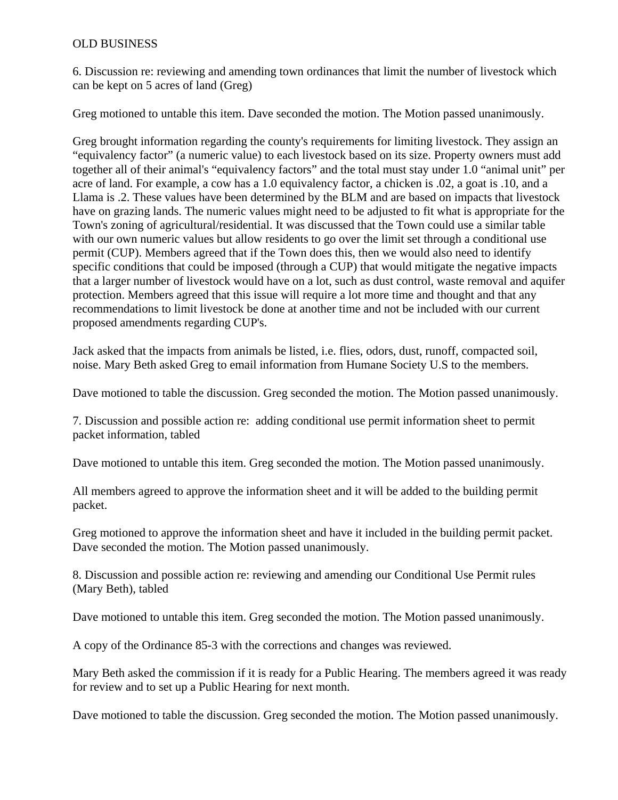### OLD BUSINESS

6. Discussion re: reviewing and amending town ordinances that limit the number of livestock which can be kept on 5 acres of land (Greg)

Greg motioned to untable this item. Dave seconded the motion. The Motion passed unanimously.

Greg brought information regarding the county's requirements for limiting livestock. They assign an "equivalency factor" (a numeric value) to each livestock based on its size. Property owners must add together all of their animal's "equivalency factors" and the total must stay under 1.0 "animal unit" per acre of land. For example, a cow has a 1.0 equivalency factor, a chicken is .02, a goat is .10, and a Llama is .2. These values have been determined by the BLM and are based on impacts that livestock have on grazing lands. The numeric values might need to be adjusted to fit what is appropriate for the Town's zoning of agricultural/residential. It was discussed that the Town could use a similar table with our own numeric values but allow residents to go over the limit set through a conditional use permit (CUP). Members agreed that if the Town does this, then we would also need to identify specific conditions that could be imposed (through a CUP) that would mitigate the negative impacts that a larger number of livestock would have on a lot, such as dust control, waste removal and aquifer protection. Members agreed that this issue will require a lot more time and thought and that any recommendations to limit livestock be done at another time and not be included with our current proposed amendments regarding CUP's.

Jack asked that the impacts from animals be listed, i.e. flies, odors, dust, runoff, compacted soil, noise. Mary Beth asked Greg to email information from Humane Society U.S to the members.

Dave motioned to table the discussion. Greg seconded the motion. The Motion passed unanimously.

7. Discussion and possible action re: adding conditional use permit information sheet to permit packet information, tabled

Dave motioned to untable this item. Greg seconded the motion. The Motion passed unanimously.

All members agreed to approve the information sheet and it will be added to the building permit packet.

Greg motioned to approve the information sheet and have it included in the building permit packet. Dave seconded the motion. The Motion passed unanimously.

8. Discussion and possible action re: reviewing and amending our Conditional Use Permit rules (Mary Beth), tabled

Dave motioned to untable this item. Greg seconded the motion. The Motion passed unanimously.

A copy of the Ordinance 85-3 with the corrections and changes was reviewed.

Mary Beth asked the commission if it is ready for a Public Hearing. The members agreed it was ready for review and to set up a Public Hearing for next month.

Dave motioned to table the discussion. Greg seconded the motion. The Motion passed unanimously.